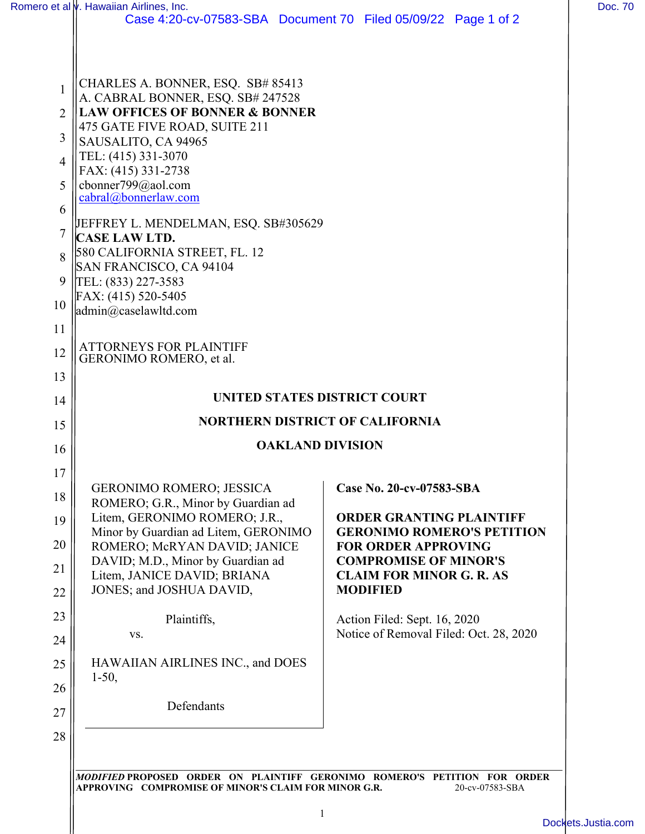|                | Romero et al <i>v</i> . Hawaiian Airlines, Inc.                                      |                                                            |
|----------------|--------------------------------------------------------------------------------------|------------------------------------------------------------|
|                | Case 4:20-cv-07583-SBA Document 70 Filed 05/09/22 Page 1 of 2                        |                                                            |
| 1              | CHARLES A. BONNER, ESQ. SB# 85413                                                    |                                                            |
| 2              | A. CABRAL BONNER, ESQ. SB# 247528<br><b>LAW OFFICES OF BONNER &amp; BONNER</b>       |                                                            |
|                | 475 GATE FIVE ROAD, SUITE 211                                                        |                                                            |
| 3              | SAUSALITO, CA 94965<br>TEL: (415) 331-3070<br>FAX: (415) 331-2738                    |                                                            |
| $\overline{4}$ |                                                                                      |                                                            |
| 5              | cbonner799@aol.com                                                                   |                                                            |
| 6              | cabral@bonnerlaw.com<br>JEFFREY L. MENDELMAN, ESQ. SB#305629<br><b>CASE LAW LTD.</b> |                                                            |
| 7              |                                                                                      |                                                            |
| 8              | 580 CALIFORNIA STREET, FL. 12                                                        |                                                            |
|                | SAN FRANCISCO, CA 94104                                                              |                                                            |
| 9              | TEL: (833) 227-3583<br>FAX: (415) 520-5405                                           |                                                            |
| 10             | $\alpha$ <sup>2</sup> caselawltd.com                                                 |                                                            |
| 11             |                                                                                      |                                                            |
| 12             | <b>ATTORNEYS FOR PLAINTIFF</b><br>GERONIMO ROMERO, et al.                            |                                                            |
| 13             |                                                                                      |                                                            |
| 14             | UNITED STATES DISTRICT COURT                                                         |                                                            |
| 15             | <b>NORTHERN DISTRICT OF CALIFORNIA</b>                                               |                                                            |
| 16             | <b>OAKLAND DIVISION</b>                                                              |                                                            |
| 17             |                                                                                      |                                                            |
| 18             | <b>GERONIMO ROMERO; JESSICA</b><br>ROMERO; G.R., Minor by Guardian ad                | Case No. 20-cv-07583-SBA                                   |
| 19             | Litem, GERONIMO ROMERO; J.R.,                                                        | <b>ORDER GRANTING PLAINTIFF</b>                            |
|                | Minor by Guardian ad Litem, GERONIMO                                                 | <b>GERONIMO ROMERO'S PETITION</b>                          |
| 20             | ROMERO; McRYAN DAVID; JANICE<br>DAVID; M.D., Minor by Guardian ad                    | <b>FOR ORDER APPROVING</b><br><b>COMPROMISE OF MINOR'S</b> |
| 21             | Litem, JANICE DAVID; BRIANA                                                          | <b>CLAIM FOR MINOR G. R. AS</b>                            |
| 22             | JONES; and JOSHUA DAVID,                                                             | <b>MODIFIED</b>                                            |
| 23             | Plaintiffs,                                                                          | Action Filed: Sept. 16, 2020                               |
| 24             | VS.                                                                                  | Notice of Removal Filed: Oct. 28, 2020                     |
| 25             | HAWAIIAN AIRLINES INC., and DOES                                                     |                                                            |
| 26             | $1-50,$                                                                              |                                                            |
| 27             | Defendants                                                                           |                                                            |
|                |                                                                                      |                                                            |
| 28             |                                                                                      |                                                            |

1

[Dockets.Justia.com](https://dockets.justia.com/)